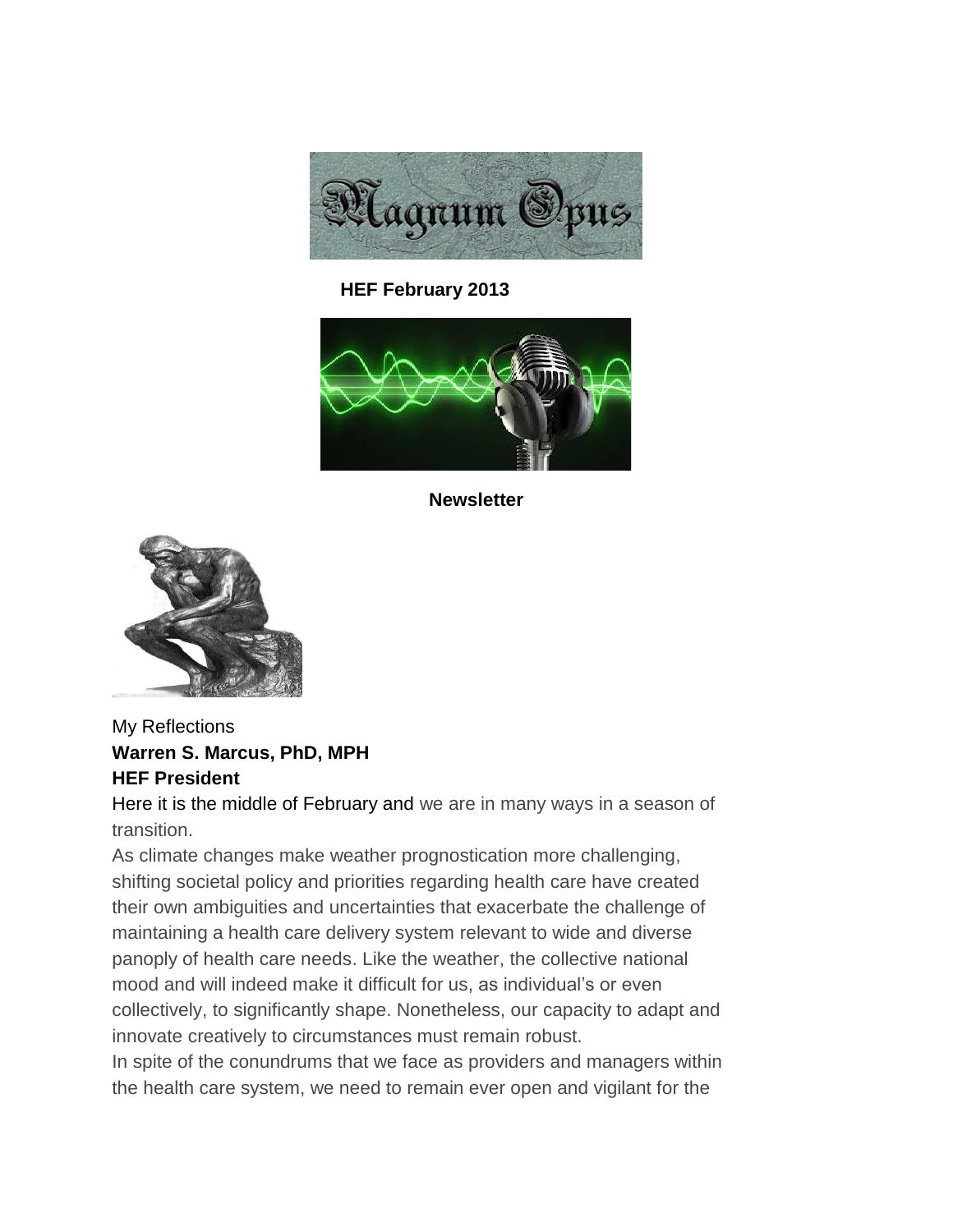

 **HEF February 2013** 



**Newsletter**



# My Reflections **Warren S. Marcus, PhD, MPH HEF President**

Here it is the middle of February and [we](http://www.quotationspage.com/quote/2995.html) are in many ways in a season of transition.

As climate changes make weather prognostication more challenging, shifting societal policy and priorities regarding health care have created their own ambiguities and uncertainties that exacerbate the challenge of maintaining a health care delivery system relevant to wide and diverse panoply of health care needs. Like the weather, the collective national mood and will indeed make it difficult for us, as individual's or even collectively, to significantly shape. Nonetheless, our capacity to adapt and innovate creatively to circumstances must remain robust.

In spite of the conundrums that we face as providers and managers within the health care system, we need to remain ever open and vigilant for the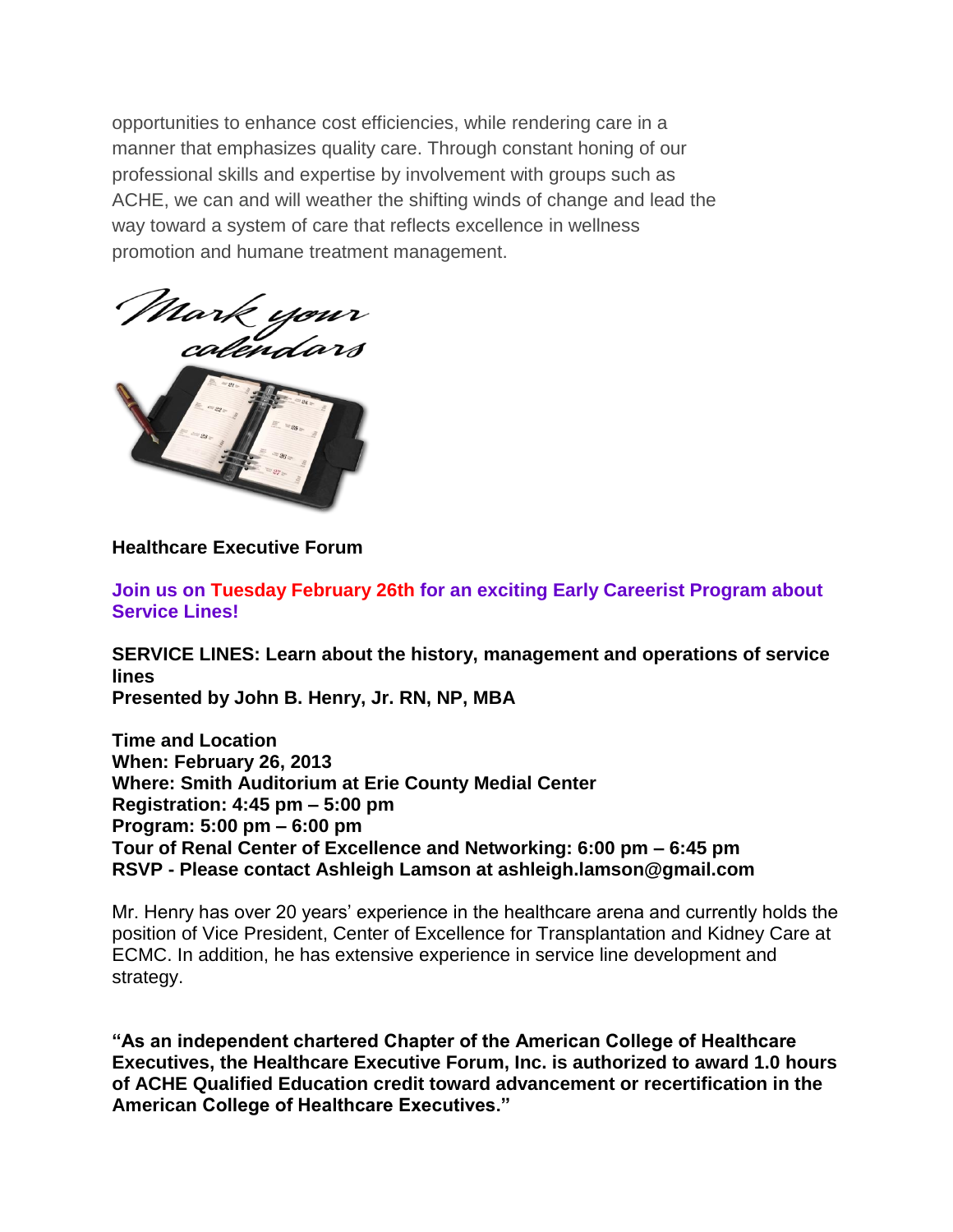opportunities to enhance cost efficiencies, while rendering care in a manner that emphasizes quality care. Through constant honing of our professional skills and expertise by involvement with groups such as ACHE, we can and will weather the shifting winds of change and lead the way toward a system of care that reflects excellence in wellness promotion and humane treatment management.



**Healthcare Executive Forum** 

**Join us on Tuesday February 26th for an exciting Early Careerist Program about Service Lines!**

**SERVICE LINES: Learn about the history, management and operations of service lines Presented by John B. Henry, Jr. RN, NP, MBA**

**Time and Location When: February 26, 2013 Where: Smith Auditorium at Erie County Medial Center Registration: 4:45 pm – 5:00 pm Program: 5:00 pm – 6:00 pm Tour of Renal Center of Excellence and Networking: 6:00 pm – 6:45 pm RSVP - Please contact Ashleigh Lamson at ashleigh.lamson@gmail.com** 

Mr. Henry has over 20 years' experience in the healthcare arena and currently holds the position of Vice President, Center of Excellence for Transplantation and Kidney Care at ECMC. In addition, he has extensive experience in service line development and strategy.

**"As an independent chartered Chapter of the American College of Healthcare Executives, the Healthcare Executive Forum, Inc. is authorized to award 1.0 hours of ACHE Qualified Education credit toward advancement or recertification in the American College of Healthcare Executives."**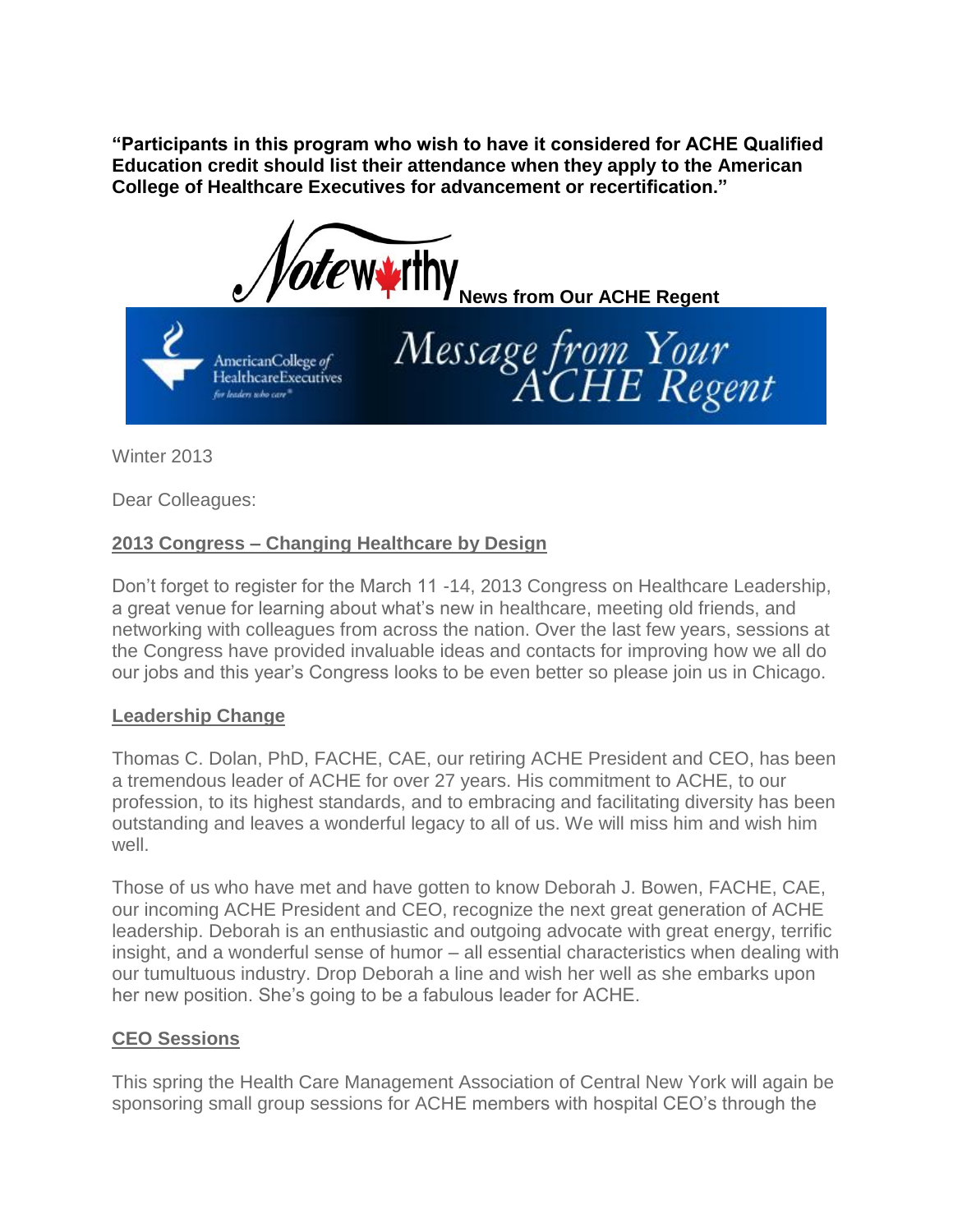**"Participants in this program who wish to have it considered for ACHE Qualified Education credit should list their attendance when they apply to the American College of Healthcare Executives for advancement or recertification."** 

Message from Your<br>ACHE Regent

*ote* wy ithy **News from Our ACHE Regent** 

AmericanCollege of HealthcareExecutives for leaders who care<sup>"</sup>

Winter 2013

Dear Colleagues:

# **2013 Congress – Changing Healthcare by Design**

Don't forget to register for the March 11 -14, 2013 Congress on Healthcare Leadership, a great venue for learning about what's new in healthcare, meeting old friends, and networking with colleagues from across the nation. Over the last few years, sessions at the Congress have provided invaluable ideas and contacts for improving how we all do our jobs and this year's Congress looks to be even better so please join us in Chicago.

### **Leadership Change**

Thomas C. Dolan, PhD, FACHE, CAE, our retiring ACHE President and CEO, has been a tremendous leader of ACHE for over 27 years. His commitment to ACHE, to our profession, to its highest standards, and to embracing and facilitating diversity has been outstanding and leaves a wonderful legacy to all of us. We will miss him and wish him well.

Those of us who have met and have gotten to know Deborah J. Bowen, FACHE, CAE, our incoming ACHE President and CEO, recognize the next great generation of ACHE leadership. Deborah is an enthusiastic and outgoing advocate with great energy, terrific insight, and a wonderful sense of humor – all essential characteristics when dealing with our tumultuous industry. Drop Deborah a line and wish her well as she embarks upon her new position. She's going to be a fabulous leader for ACHE.

# **CEO Sessions**

This spring the Health Care Management Association of Central New York will again be sponsoring small group sessions for ACHE members with hospital CEO's through the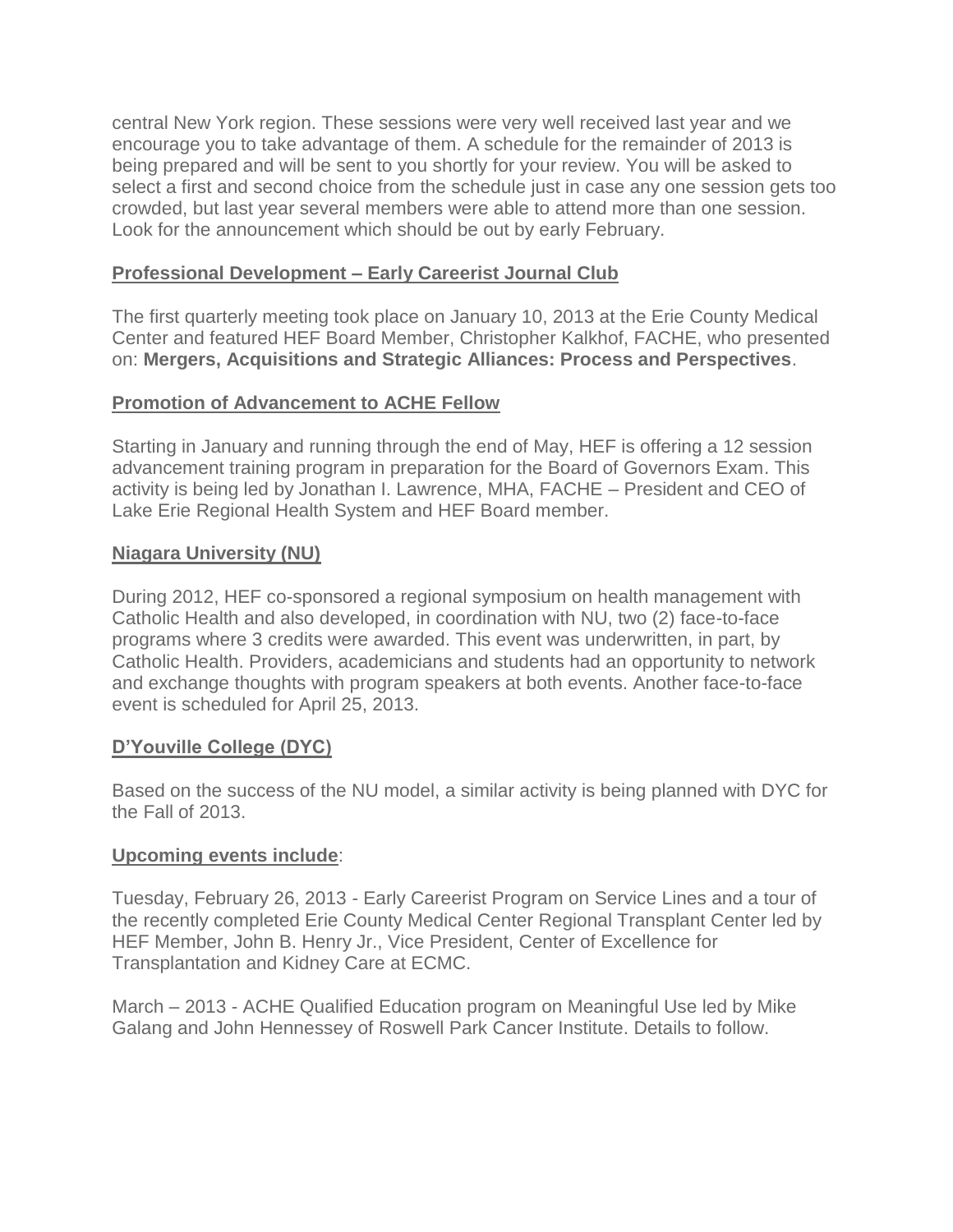central New York region. These sessions were very well received last year and we encourage you to take advantage of them. A schedule for the remainder of 2013 is being prepared and will be sent to you shortly for your review. You will be asked to select a first and second choice from the schedule just in case any one session gets too crowded, but last year several members were able to attend more than one session. Look for the announcement which should be out by early February.

## **Professional Development – Early Careerist Journal Club**

The first quarterly meeting took place on January 10, 2013 at the Erie County Medical Center and featured HEF Board Member, Christopher Kalkhof, FACHE, who presented on: **Mergers, Acquisitions and Strategic Alliances: Process and Perspectives**.

# **Promotion of Advancement to ACHE Fellow**

Starting in January and running through the end of May, HEF is offering a 12 session advancement training program in preparation for the Board of Governors Exam. This activity is being led by Jonathan I. Lawrence, MHA, FACHE – President and CEO of Lake Erie Regional Health System and HEF Board member.

## **Niagara University (NU)**

During 2012, HEF co-sponsored a regional symposium on health management with Catholic Health and also developed, in coordination with NU, two (2) face-to-face programs where 3 credits were awarded. This event was underwritten, in part, by Catholic Health. Providers, academicians and students had an opportunity to network and exchange thoughts with program speakers at both events. Another face-to-face event is scheduled for April 25, 2013.

### **D'Youville College (DYC)**

Based on the success of the NU model, a similar activity is being planned with DYC for the Fall of 2013.

### **Upcoming events include**:

Tuesday, February 26, 2013 - Early Careerist Program on Service Lines and a tour of the recently completed Erie County Medical Center Regional Transplant Center led by HEF Member, John B. Henry Jr., Vice President, Center of Excellence for Transplantation and Kidney Care at ECMC.

March – 2013 - ACHE Qualified Education program on Meaningful Use led by Mike Galang and John Hennessey of Roswell Park Cancer Institute. Details to follow.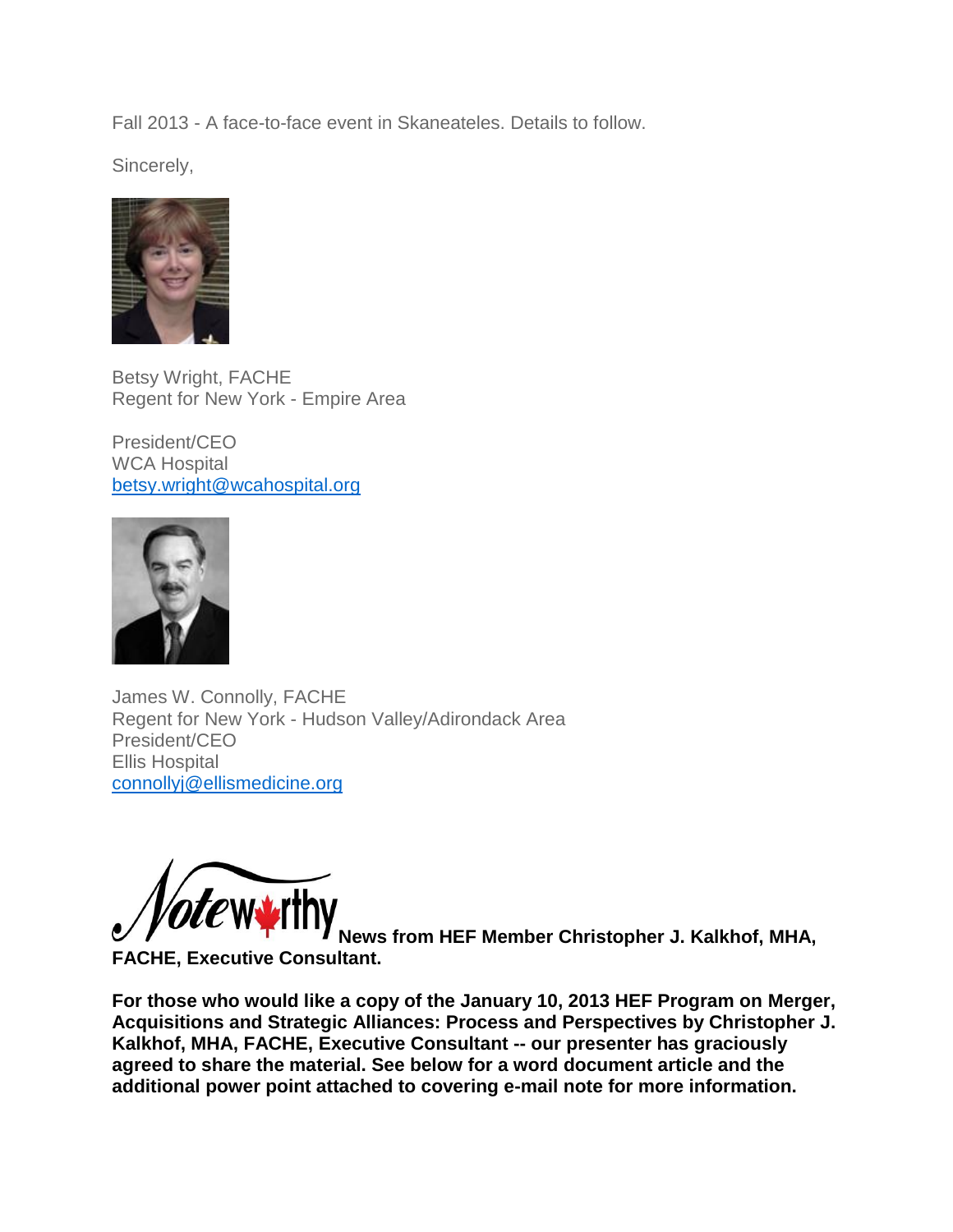Fall 2013 - A face-to-face event in Skaneateles. Details to follow.

Sincerely,



Betsy Wright, FACHE Regent for New York - Empire Area

President/CEO WCA Hospital [betsy.wright@wcahospital.org](mailto:betsy.wright@wcahospital.org)



James W. Connolly, FACHE Regent for New York - Hudson Valley/Adirondack Area President/CEO Ellis Hospital [connollyj@ellismedicine.org](mailto:connollyj@ellismedicine.org)



**News from HEF Member Christopher J. Kalkhof, MHA,** 

**FACHE, Executive Consultant.**

**For those who would like a copy of the January 10, 2013 HEF Program on Merger, Acquisitions and Strategic Alliances: Process and Perspectives by Christopher J. Kalkhof, MHA, FACHE, Executive Consultant -- our presenter has graciously agreed to share the material. See below for a word document article and the additional power point attached to covering e-mail note for more information.**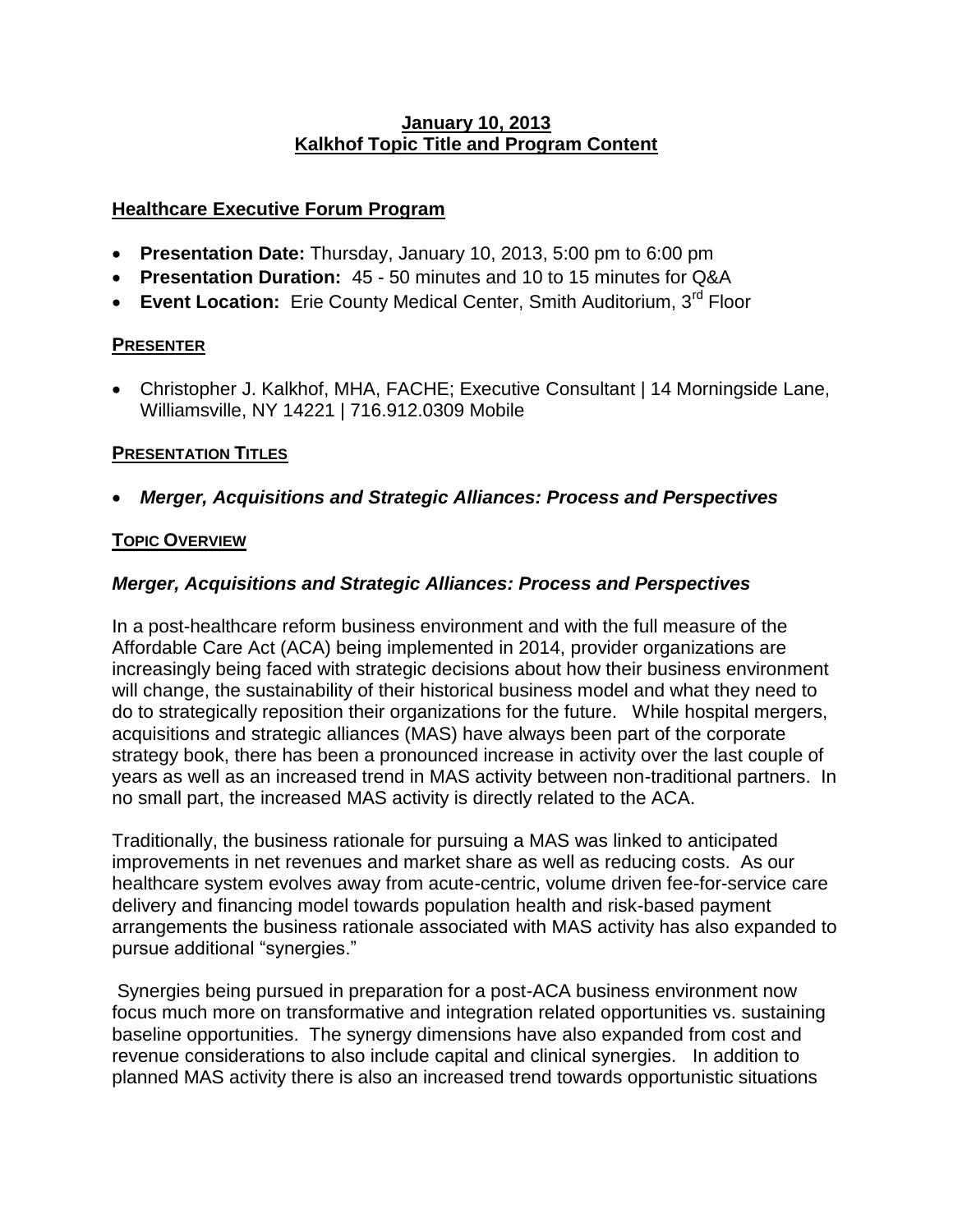### **January 10, 2013 Kalkhof Topic Title and Program Content**

# **Healthcare Executive Forum Program**

- **Presentation Date:** Thursday, January 10, 2013, 5:00 pm to 6:00 pm
- **Presentation Duration:** 45 50 minutes and 10 to 15 minutes for Q&A
- **Event Location:** Erie County Medical Center, Smith Auditorium, 3<sup>rd</sup> Floor

## **PRESENTER**

 Christopher J. Kalkhof, MHA, FACHE; Executive Consultant | 14 Morningside Lane, Williamsville, NY 14221 | 716.912.0309 Mobile

# **PRESENTATION TITLES**

*Merger, Acquisitions and Strategic Alliances: Process and Perspectives*

### **TOPIC OVERVIEW**

## *Merger, Acquisitions and Strategic Alliances: Process and Perspectives*

In a post-healthcare reform business environment and with the full measure of the Affordable Care Act (ACA) being implemented in 2014, provider organizations are increasingly being faced with strategic decisions about how their business environment will change, the sustainability of their historical business model and what they need to do to strategically reposition their organizations for the future. While hospital mergers, acquisitions and strategic alliances (MAS) have always been part of the corporate strategy book, there has been a pronounced increase in activity over the last couple of years as well as an increased trend in MAS activity between non-traditional partners. In no small part, the increased MAS activity is directly related to the ACA.

Traditionally, the business rationale for pursuing a MAS was linked to anticipated improvements in net revenues and market share as well as reducing costs. As our healthcare system evolves away from acute-centric, volume driven fee-for-service care delivery and financing model towards population health and risk-based payment arrangements the business rationale associated with MAS activity has also expanded to pursue additional "synergies."

Synergies being pursued in preparation for a post-ACA business environment now focus much more on transformative and integration related opportunities vs. sustaining baseline opportunities. The synergy dimensions have also expanded from cost and revenue considerations to also include capital and clinical synergies. In addition to planned MAS activity there is also an increased trend towards opportunistic situations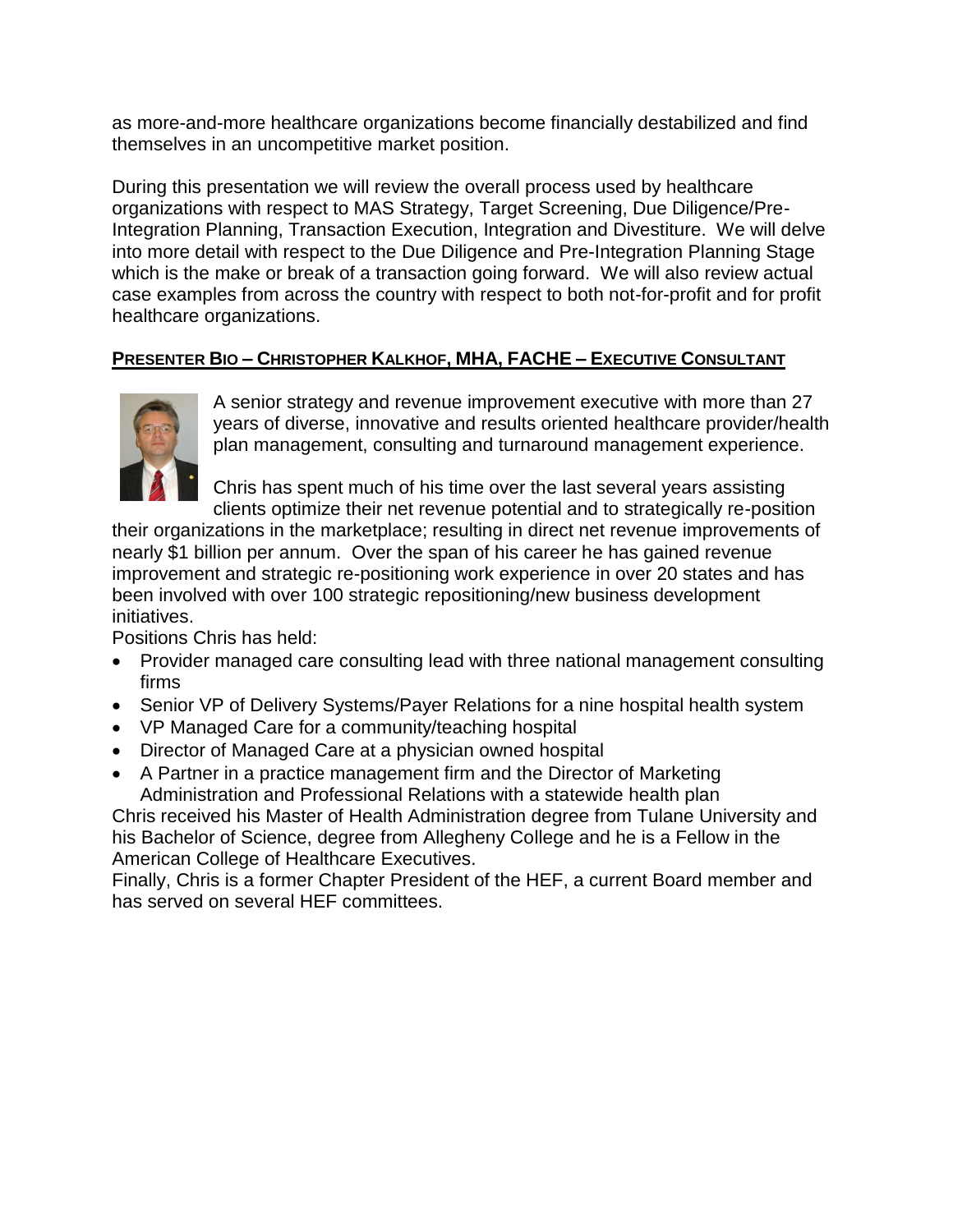as more-and-more healthcare organizations become financially destabilized and find themselves in an uncompetitive market position.

During this presentation we will review the overall process used by healthcare organizations with respect to MAS Strategy, Target Screening, Due Diligence/Pre-Integration Planning, Transaction Execution, Integration and Divestiture. We will delve into more detail with respect to the Due Diligence and Pre-Integration Planning Stage which is the make or break of a transaction going forward. We will also review actual case examples from across the country with respect to both not-for-profit and for profit healthcare organizations.

# **PRESENTER BIO – CHRISTOPHER KALKHOF, MHA, FACHE – EXECUTIVE CONSULTANT**



A senior strategy and revenue improvement executive with more than 27 years of diverse, innovative and results oriented healthcare provider/health plan management, consulting and turnaround management experience.

Chris has spent much of his time over the last several years assisting clients optimize their net revenue potential and to strategically re-position

their organizations in the marketplace; resulting in direct net revenue improvements of nearly \$1 billion per annum. Over the span of his career he has gained revenue improvement and strategic re-positioning work experience in over 20 states and has been involved with over 100 strategic repositioning/new business development initiatives.

Positions Chris has held:

- Provider managed care consulting lead with three national management consulting firms
- Senior VP of Delivery Systems/Payer Relations for a nine hospital health system
- VP Managed Care for a community/teaching hospital
- Director of Managed Care at a physician owned hospital
- A Partner in a practice management firm and the Director of Marketing Administration and Professional Relations with a statewide health plan

Chris received his Master of Health Administration degree from Tulane University and his Bachelor of Science, degree from Allegheny College and he is a Fellow in the American College of Healthcare Executives.

Finally, Chris is a former Chapter President of the HEF, a current Board member and has served on several HEF committees.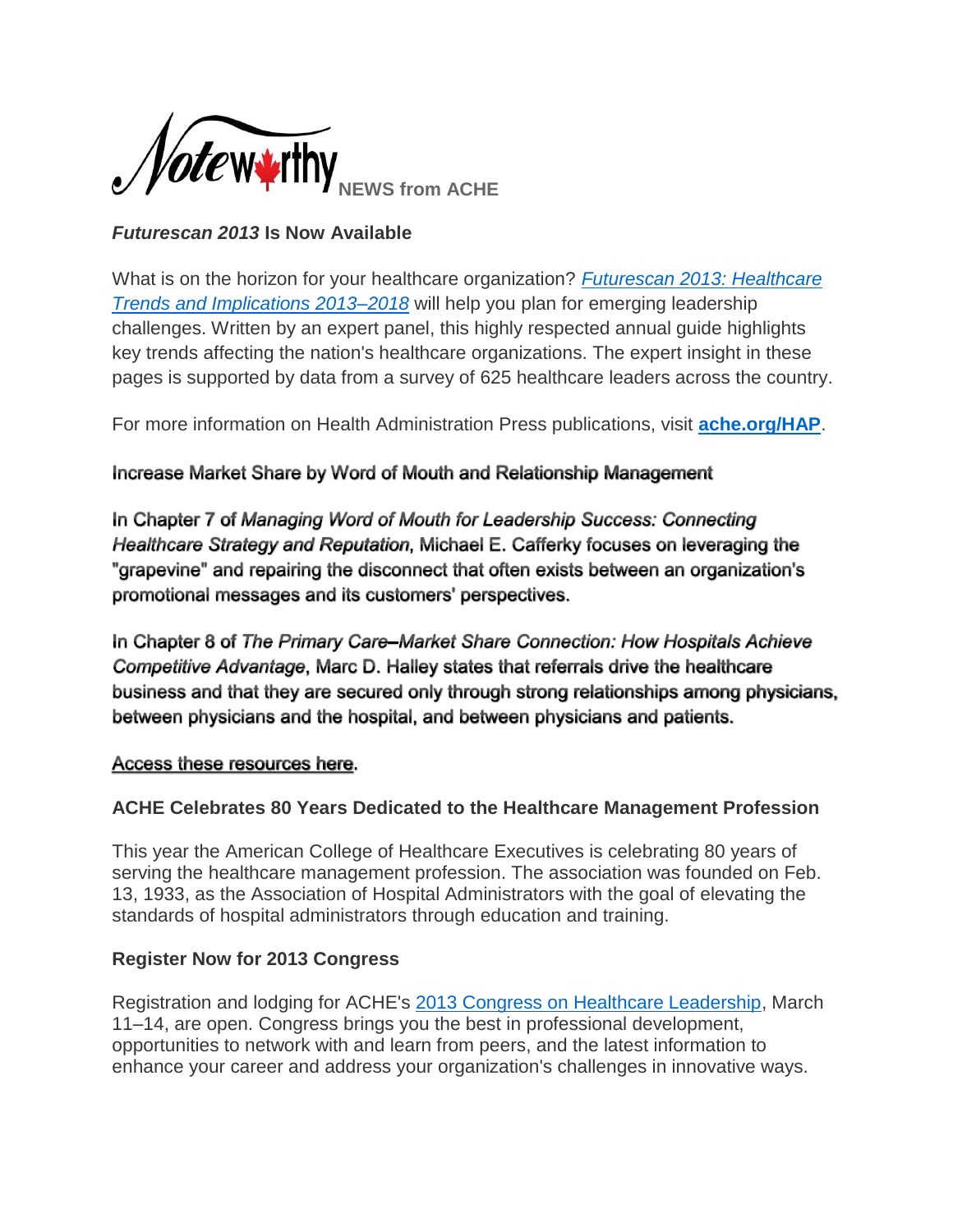

# *Futurescan 2013* **Is Now Available**

What is on the horizon for your healthcare organization? *[Futurescan 2013: Healthcare](http://www.mmsend53.com/link.cfm?r=284884120&sid=22588770&m=2481534&u=ACHE&j=12901090&s=http://www.ache.org/pubs/redesign/productcatalog.cfm?pc=WWW1-2236&utm_source=real%20magnet&utm_medium=email&utm_term=wsmarcus@roadrunner.com&utm_content=ACHe-news%20-%201/31/13&utm_campaign=ACHe-news%20-%20January%2031,%202013)  [Trends and Implications 2013–2018](http://www.mmsend53.com/link.cfm?r=284884120&sid=22588770&m=2481534&u=ACHE&j=12901090&s=http://www.ache.org/pubs/redesign/productcatalog.cfm?pc=WWW1-2236&utm_source=real%20magnet&utm_medium=email&utm_term=wsmarcus@roadrunner.com&utm_content=ACHe-news%20-%201/31/13&utm_campaign=ACHe-news%20-%20January%2031,%202013)* will help you plan for emerging leadership challenges. Written by an expert panel, this highly respected annual guide highlights key trends affecting the nation's healthcare organizations. The expert insight in these pages is supported by data from a survey of 625 healthcare leaders across the country.

For more information on Health Administration Press publications, visit **[ache.org/HAP](http://www.mmsend53.com/link.cfm?r=284884120&sid=22588771&m=2481534&u=ACHE&j=12901090&s=http://www.ache.org/hap.cfm?utm_source=real%20magnet&utm_medium=email&utm_term=wsmarcus@roadrunner.com&utm_content=ACHe-news%20-%201/31/13&utm_campaign=ACHe-news%20-%20January%2031,%202013)**.

# Increase Market Share by Word of Mouth and Relationship Management

In Chapter 7 of Managing Word of Mouth for Leadership Success: Connecting Healthcare Strategy and Reputation, Michael E. Cafferky focuses on leveraging the "grapevine" and repairing the disconnect that often exists between an organization's promotional messages and its customers' perspectives.

In Chapter 8 of The Primary Care–Market Share Connection: How Hospitals Achieve Competitive Advantage, Marc D. Halley states that referrals drive the healthcare business and that they are secured only through strong relationships among physicians, between physicians and the hospital, and between physicians and patients.

# Access these resources here.

# **ACHE Celebrates 80 Years Dedicated to the Healthcare Management Profession**

This year the American College of Healthcare Executives is celebrating 80 years of serving the healthcare management profession. The association was founded on Feb. 13, 1933, as the Association of Hospital Administrators with the goal of elevating the standards of hospital administrators through education and training.

# **Register Now for 2013 Congress**

Registration and lodging for ACHE's [2013 Congress on Healthcare Leadership,](http://www.mmsend53.com/link.cfm?r=284884120&sid=22038530&m=2432839&u=ACHE&j=12402019&s=http://www.ache.org/Congress?utm_source=real%20magnet&utm_medium=email&utm_term=wsmarcus@roadrunner.com&utm_content=ACHe-news%20-%2012/20/12&utm_campaign=ACHe-news%20-%20December%2020,%202012) March 11–14, are open. Congress brings you the best in professional development, opportunities to network with and learn from peers, and the latest information to enhance your career and address your organization's challenges in innovative ways.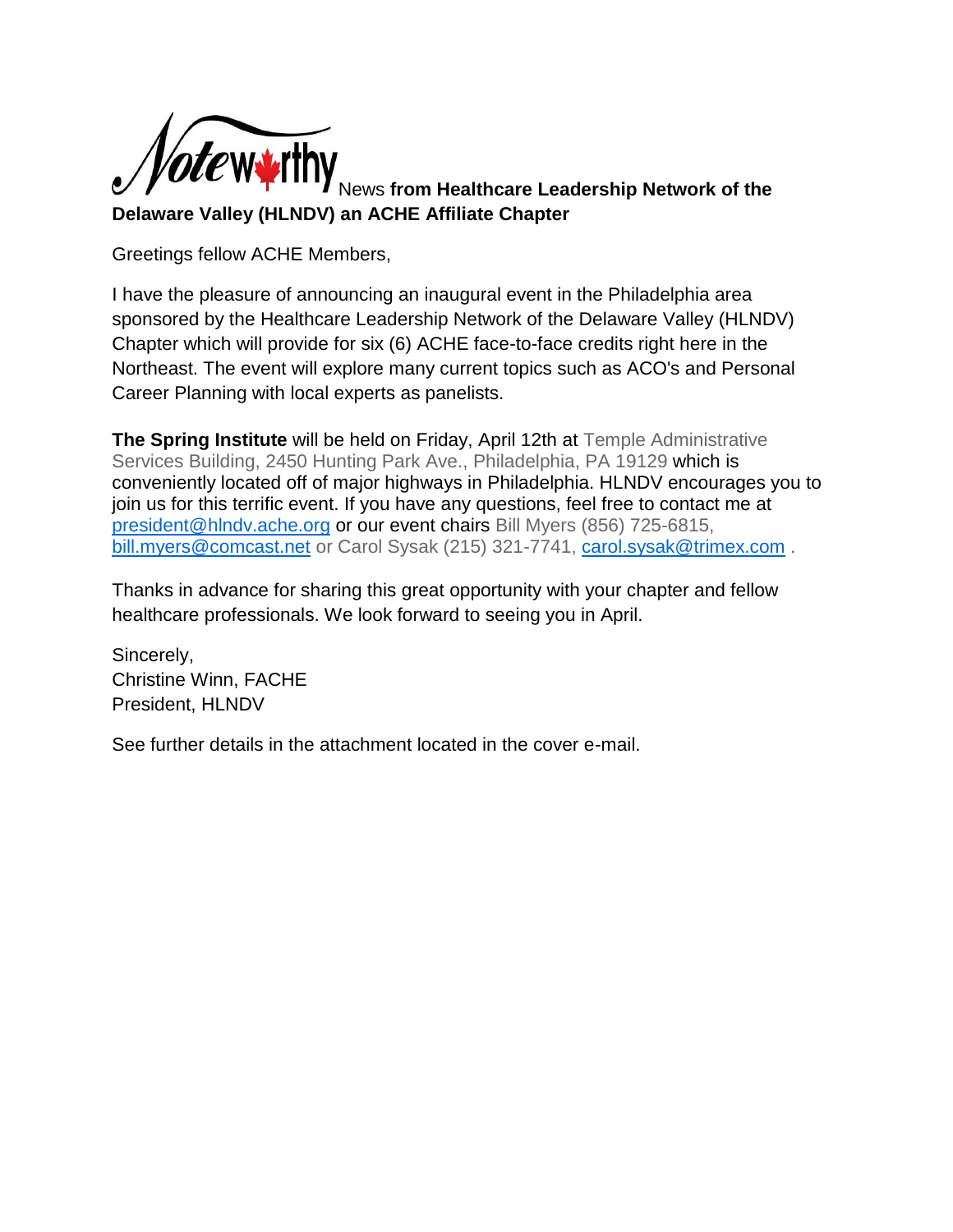

News **from Healthcare Leadership Network of the Delaware Valley (HLNDV) an ACHE Affiliate Chapter**

Greetings fellow ACHE Members,

I have the pleasure of announcing an inaugural event in the Philadelphia area sponsored by the Healthcare Leadership Network of the Delaware Valley (HLNDV) Chapter which will provide for six (6) ACHE face-to-face credits right here in the Northeast. The event will explore many current topics such as ACO's and Personal Career Planning with local experts as panelists.

**The Spring Institute** will be held on Friday, April 12th at Temple Administrative Services Building, 2450 Hunting Park Ave., Philadelphia, PA 19129 which is conveniently located off of major highways in Philadelphia. HLNDV encourages you to join us for this terrific event. If you have any questions, feel free to contact me at [president@hlndv.ache.org](mailto:president@hlndv.ache.org) or our event chairs Bill Myers (856) 725-6815, [bill.myers@comcast.net](mailto:bill.myers@comcast.net) or Carol Sysak (215) 321-7741, [carol.sysak@trimex.com](mailto:carol.sysak@trimex.com).

Thanks in advance for sharing this great opportunity with your chapter and fellow healthcare professionals. We look forward to seeing you in April.

Sincerely, Christine Winn, FACHE President, HLNDV

See further details in the attachment located in the cover e-mail.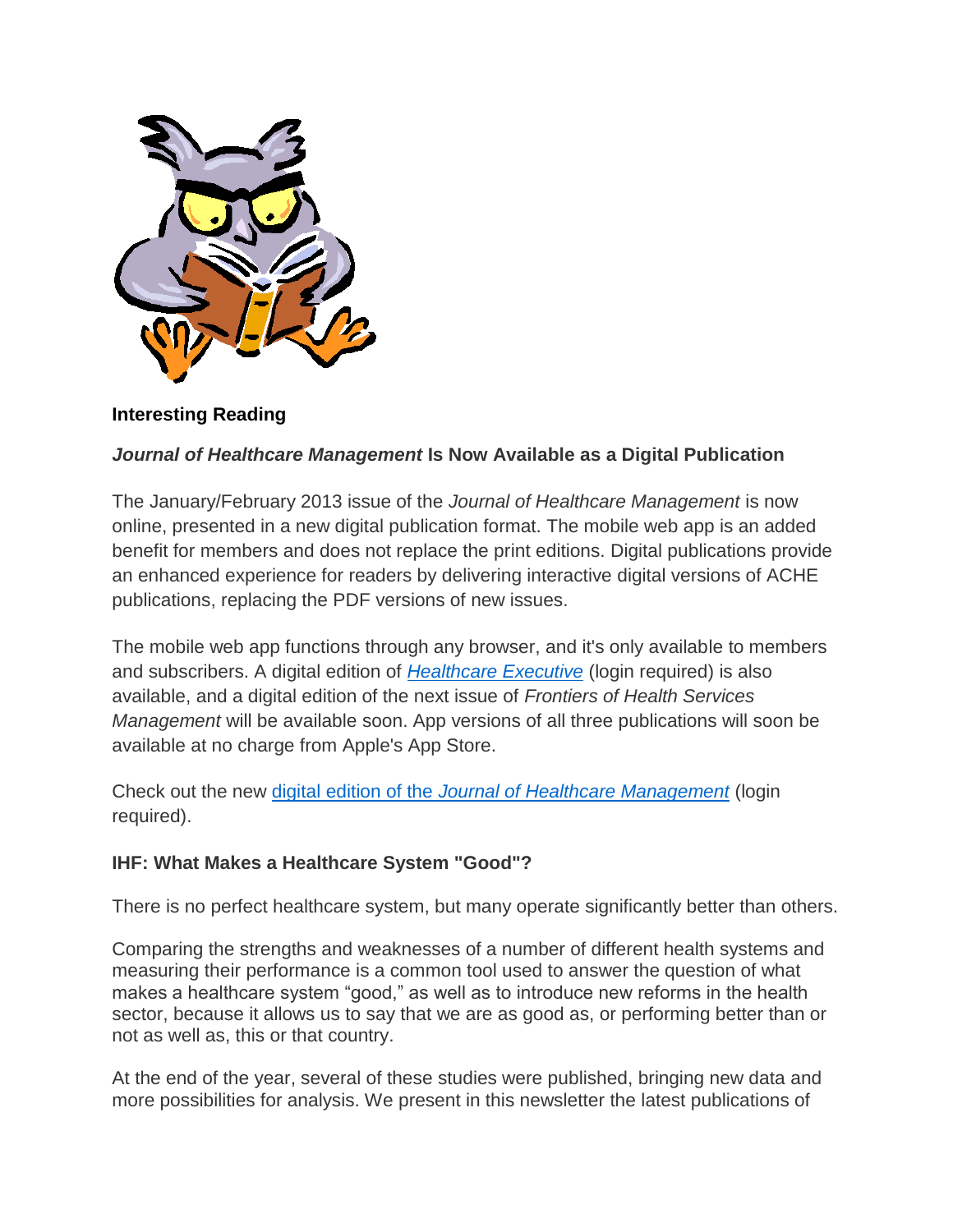

# **Interesting Reading**

## *Journal of Healthcare Management* **Is Now Available as a Digital Publication**

The January/February 2013 issue of the *Journal of Healthcare Management* is now online, presented in a new digital publication format. The mobile web app is an added benefit for members and does not replace the print editions. Digital publications provide an enhanced experience for readers by delivering interactive digital versions of ACHE publications, replacing the PDF versions of new issues.

The mobile web app functions through any browser, and it's only available to members and subscribers. A digital edition of *[Healthcare Executive](http://www.mmsend53.com/link.cfm?r=284884120&sid=22380939&m=2463222&u=ACHE&j=12693559&s=http://www.ache.org/HEOnline/digital/heonline_index.cfm?utm_source=real%20magnet&utm_medium=email&utm_term=wsmarcus@roadrunner.com&utm_content=ACHe-news%20-%201/17/13&utm_campaign=ACHe-news%20-%20January%2017,%202013)* (login required) is also available, and a digital edition of the next issue of *Frontiers of Health Services Management* will be available soon. App versions of all three publications will soon be available at no charge from Apple's App Store.

Check out the new digital edition of the *[Journal of Healthcare Management](http://www.mmsend53.com/link.cfm?r=284884120&sid=22380940&m=2463222&u=ACHE&j=12693559&s=http://www.ache.org/pubs/jhm/jhm_index.cfm?utm_source=real%20magnet&utm_medium=email&utm_term=wsmarcus@roadrunner.com&utm_content=ACHe-news%20-%201/17/13&utm_campaign=ACHe-news%20-%20January%2017,%202013)* (login required).

### **IHF: What Makes a Healthcare System "Good"?**

There is no perfect healthcare system, but many operate significantly better than others.

Comparing the strengths and weaknesses of a number of different health systems and measuring their performance is a common tool used to answer the question of what makes a healthcare system "good," as well as to introduce new reforms in the health sector, because it allows us to say that we are as good as, or performing better than or not as well as, this or that country.

At the end of the year, several of these studies were published, bringing new data and more possibilities for analysis. We present in this newsletter the latest publications of